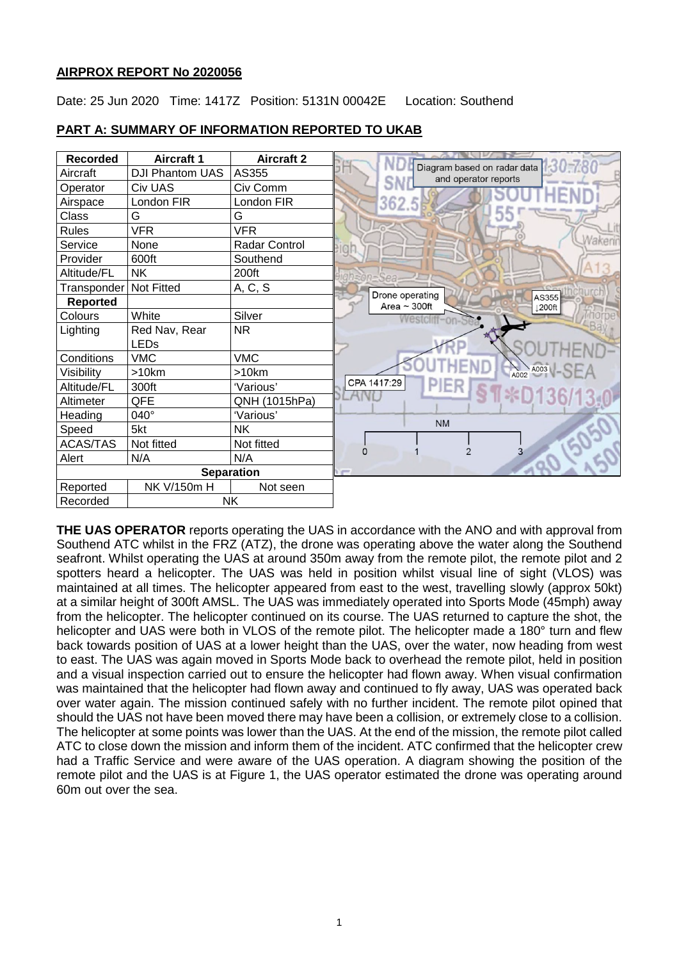### **AIRPROX REPORT No 2020056**

Date: 25 Jun 2020 Time: 1417Z Position: 5131N 00042E Location: Southend



### **PART A: SUMMARY OF INFORMATION REPORTED TO UKAB**

**THE UAS OPERATOR** reports operating the UAS in accordance with the ANO and with approval from Southend ATC whilst in the FRZ (ATZ), the drone was operating above the water along the Southend seafront. Whilst operating the UAS at around 350m away from the remote pilot, the remote pilot and 2 spotters heard a helicopter. The UAS was held in position whilst visual line of sight (VLOS) was maintained at all times. The helicopter appeared from east to the west, travelling slowly (approx 50kt) at a similar height of 300ft AMSL. The UAS was immediately operated into Sports Mode (45mph) away from the helicopter. The helicopter continued on its course. The UAS returned to capture the shot, the helicopter and UAS were both in VLOS of the remote pilot. The helicopter made a 180° turn and flew back towards position of UAS at a lower height than the UAS, over the water, now heading from west to east. The UAS was again moved in Sports Mode back to overhead the remote pilot, held in position and a visual inspection carried out to ensure the helicopter had flown away. When visual confirmation was maintained that the helicopter had flown away and continued to fly away, UAS was operated back over water again. The mission continued safely with no further incident. The remote pilot opined that should the UAS not have been moved there may have been a collision, or extremely close to a collision. The helicopter at some points was lower than the UAS. At the end of the mission, the remote pilot called ATC to close down the mission and inform them of the incident. ATC confirmed that the helicopter crew had a Traffic Service and were aware of the UAS operation. A diagram showing the position of the remote pilot and the UAS is at Figure 1, the UAS operator estimated the drone was operating around 60m out over the sea.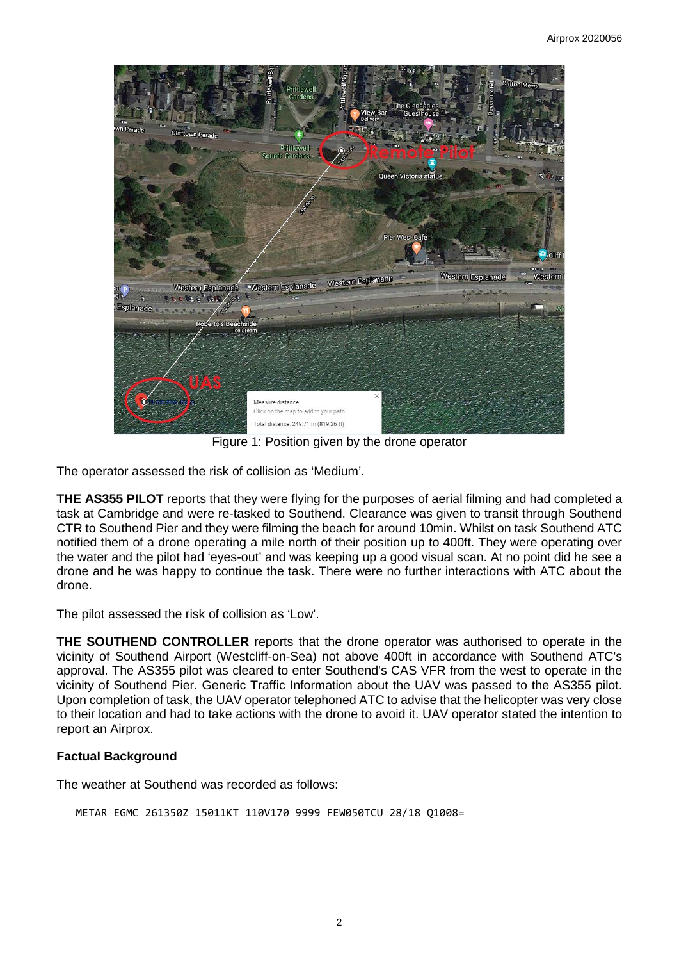

Figure 1: Position given by the drone operator

The operator assessed the risk of collision as 'Medium'.

**THE AS355 PILOT** reports that they were flying for the purposes of aerial filming and had completed a task at Cambridge and were re-tasked to Southend. Clearance was given to transit through Southend CTR to Southend Pier and they were filming the beach for around 10min. Whilst on task Southend ATC notified them of a drone operating a mile north of their position up to 400ft. They were operating over the water and the pilot had 'eyes-out' and was keeping up a good visual scan. At no point did he see a drone and he was happy to continue the task. There were no further interactions with ATC about the drone.

The pilot assessed the risk of collision as 'Low'.

**THE SOUTHEND CONTROLLER** reports that the drone operator was authorised to operate in the vicinity of Southend Airport (Westcliff-on-Sea) not above 400ft in accordance with Southend ATC's approval. The AS355 pilot was cleared to enter Southend's CAS VFR from the west to operate in the vicinity of Southend Pier. Generic Traffic Information about the UAV was passed to the AS355 pilot. Upon completion of task, the UAV operator telephoned ATC to advise that the helicopter was very close to their location and had to take actions with the drone to avoid it. UAV operator stated the intention to report an Airprox.

# **Factual Background**

The weather at Southend was recorded as follows:

METAR EGMC 261350Z 15011KT 110V170 9999 FEW050TCU 28/18 Q1008=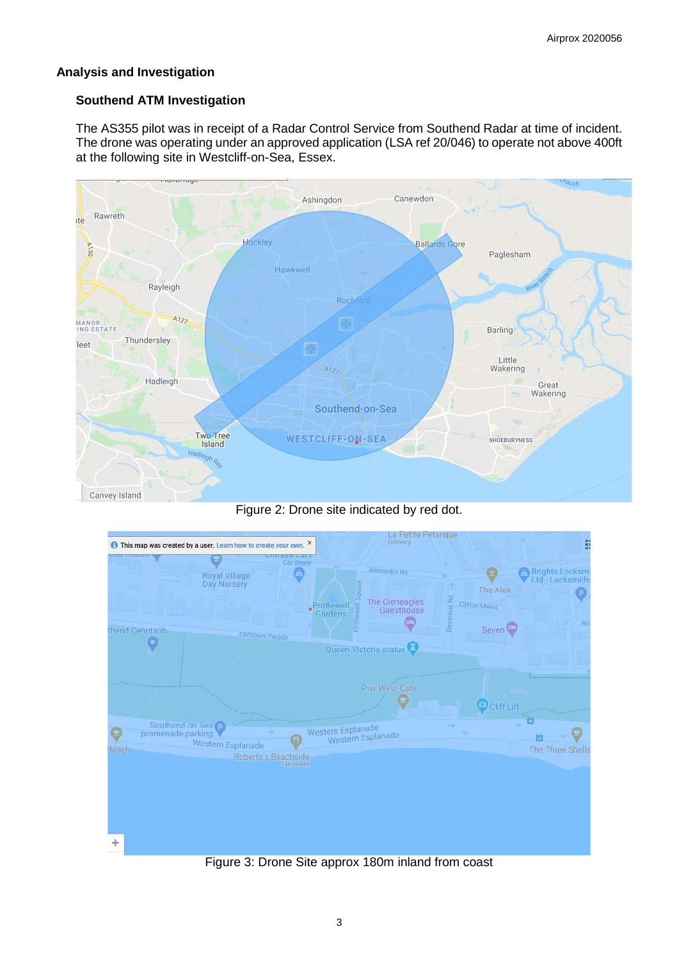### **Analysis and Investigation**

### **Southend ATM Investigation**

The AS355 pilot was in receipt of a Radar Control Service from Southend Radar at time of incident. The drone was operating under an approved application (LSA ref 20/046) to operate not above 400ft at the following site in Westcliff-on-Sea, Essex.



Figure 2: Drone site indicated by red dot.



Figure 3: Drone Site approx 180m inland from coast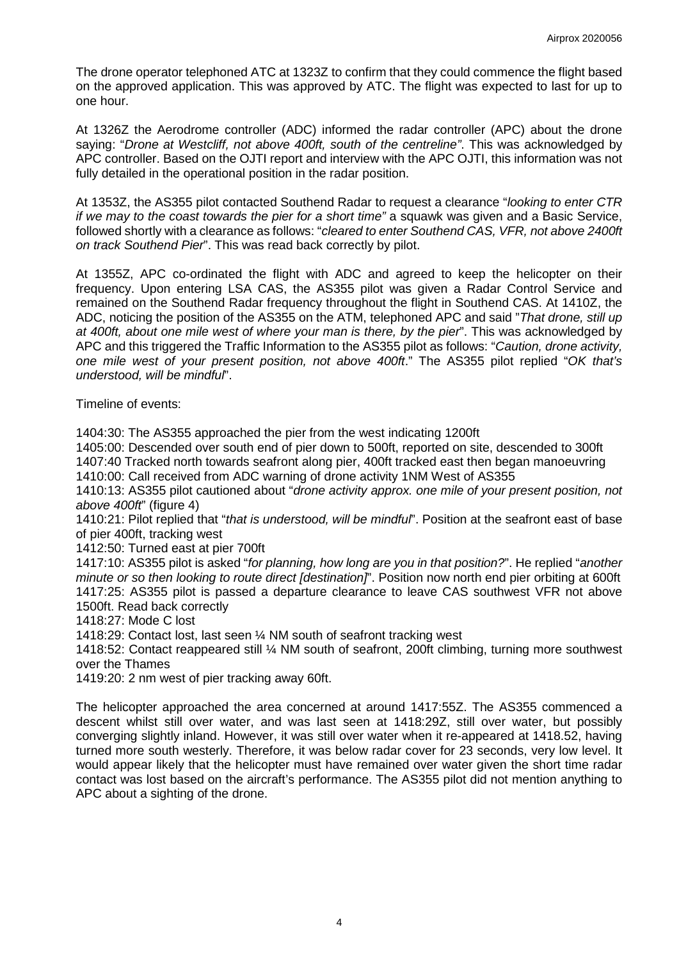The drone operator telephoned ATC at 1323Z to confirm that they could commence the flight based on the approved application. This was approved by ATC. The flight was expected to last for up to one hour.

At 1326Z the Aerodrome controller (ADC) informed the radar controller (APC) about the drone saying: "*Drone at Westcliff, not above 400ft, south of the centreline"*. This was acknowledged by APC controller. Based on the OJTI report and interview with the APC OJTI, this information was not fully detailed in the operational position in the radar position.

At 1353Z, the AS355 pilot contacted Southend Radar to request a clearance "*looking to enter CTR if we may to the coast towards the pier for a short time"* a squawk was given and a Basic Service, followed shortly with a clearance as follows: "*cleared to enter Southend CAS, VFR, not above 2400ft on track Southend Pier*". This was read back correctly by pilot.

At 1355Z, APC co-ordinated the flight with ADC and agreed to keep the helicopter on their frequency. Upon entering LSA CAS, the AS355 pilot was given a Radar Control Service and remained on the Southend Radar frequency throughout the flight in Southend CAS. At 1410Z, the ADC, noticing the position of the AS355 on the ATM, telephoned APC and said "*That drone, still up at 400ft, about one mile west of where your man is there, by the pier*". This was acknowledged by APC and this triggered the Traffic Information to the AS355 pilot as follows: "*Caution, drone activity, one mile west of your present position, not above 400ft*." The AS355 pilot replied "*OK that's understood, will be mindful*".

Timeline of events:

1404:30: The AS355 approached the pier from the west indicating 1200ft

1405:00: Descended over south end of pier down to 500ft, reported on site, descended to 300ft 1407:40 Tracked north towards seafront along pier, 400ft tracked east then began manoeuvring

1410:00: Call received from ADC warning of drone activity 1NM West of AS355

1410:13: AS355 pilot cautioned about "*drone activity approx. one mile of your present position, not above 400ft*" (figure 4)

1410:21: Pilot replied that "*that is understood, will be mindful*". Position at the seafront east of base of pier 400ft, tracking west

1412:50: Turned east at pier 700ft

1417:10: AS355 pilot is asked "*for planning, how long are you in that position?*". He replied "*another minute or so then looking to route direct [destination]*". Position now north end pier orbiting at 600ft 1417:25: AS355 pilot is passed a departure clearance to leave CAS southwest VFR not above 1500ft. Read back correctly

1418:27: Mode C lost

1418:29: Contact lost, last seen ¼ NM south of seafront tracking west

1418:52: Contact reappeared still ¼ NM south of seafront, 200ft climbing, turning more southwest over the Thames

1419:20: 2 nm west of pier tracking away 60ft.

The helicopter approached the area concerned at around 1417:55Z. The AS355 commenced a descent whilst still over water, and was last seen at 1418:29Z, still over water, but possibly converging slightly inland. However, it was still over water when it re-appeared at 1418.52, having turned more south westerly. Therefore, it was below radar cover for 23 seconds, very low level. It would appear likely that the helicopter must have remained over water given the short time radar contact was lost based on the aircraft's performance. The AS355 pilot did not mention anything to APC about a sighting of the drone.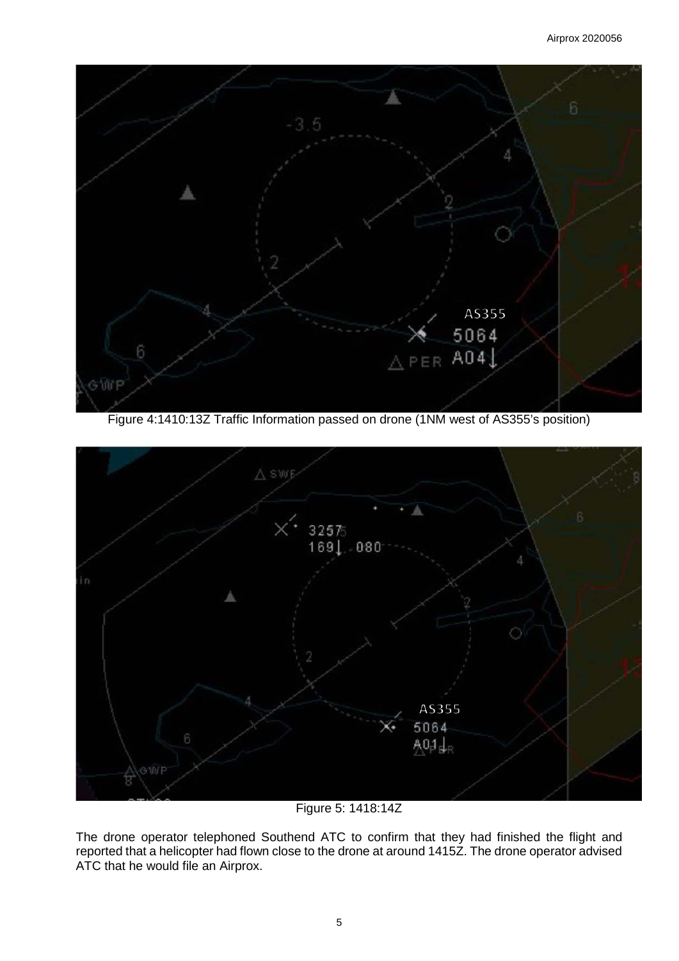

Figure 4:1410:13Z Traffic Information passed on drone (1NM west of AS355's position)



Figure 5: 1418:14Z

The drone operator telephoned Southend ATC to confirm that they had finished the flight and reported that a helicopter had flown close to the drone at around 1415Z. The drone operator advised ATC that he would file an Airprox.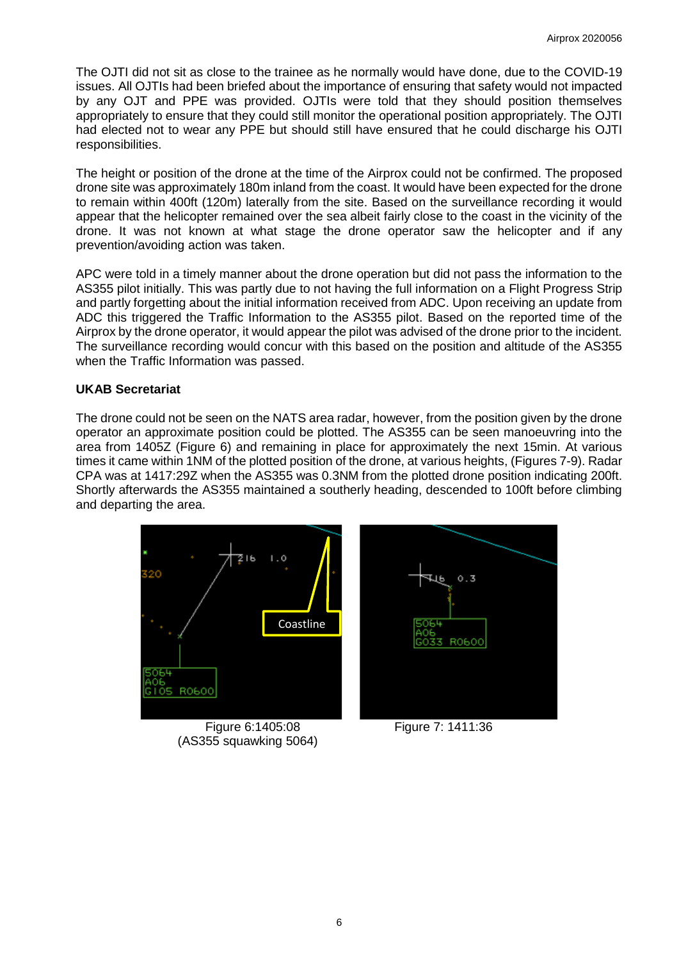The OJTI did not sit as close to the trainee as he normally would have done, due to the COVID-19 issues. All OJTIs had been briefed about the importance of ensuring that safety would not impacted by any OJT and PPE was provided. OJTIs were told that they should position themselves appropriately to ensure that they could still monitor the operational position appropriately. The OJTI had elected not to wear any PPE but should still have ensured that he could discharge his OJTI responsibilities.

The height or position of the drone at the time of the Airprox could not be confirmed. The proposed drone site was approximately 180m inland from the coast. It would have been expected for the drone to remain within 400ft (120m) laterally from the site. Based on the surveillance recording it would appear that the helicopter remained over the sea albeit fairly close to the coast in the vicinity of the drone. It was not known at what stage the drone operator saw the helicopter and if any prevention/avoiding action was taken.

APC were told in a timely manner about the drone operation but did not pass the information to the AS355 pilot initially. This was partly due to not having the full information on a Flight Progress Strip and partly forgetting about the initial information received from ADC. Upon receiving an update from ADC this triggered the Traffic Information to the AS355 pilot. Based on the reported time of the Airprox by the drone operator, it would appear the pilot was advised of the drone prior to the incident. The surveillance recording would concur with this based on the position and altitude of the AS355 when the Traffic Information was passed.

### **UKAB Secretariat**

The drone could not be seen on the NATS area radar, however, from the position given by the drone operator an approximate position could be plotted. The AS355 can be seen manoeuvring into the area from 1405Z (Figure 6) and remaining in place for approximately the next 15min. At various times it came within 1NM of the plotted position of the drone, at various heights, (Figures 7-9). Radar CPA was at 1417:29Z when the AS355 was 0.3NM from the plotted drone position indicating 200ft. Shortly afterwards the AS355 maintained a southerly heading, descended to 100ft before climbing and departing the area.



(AS355 squawking 5064)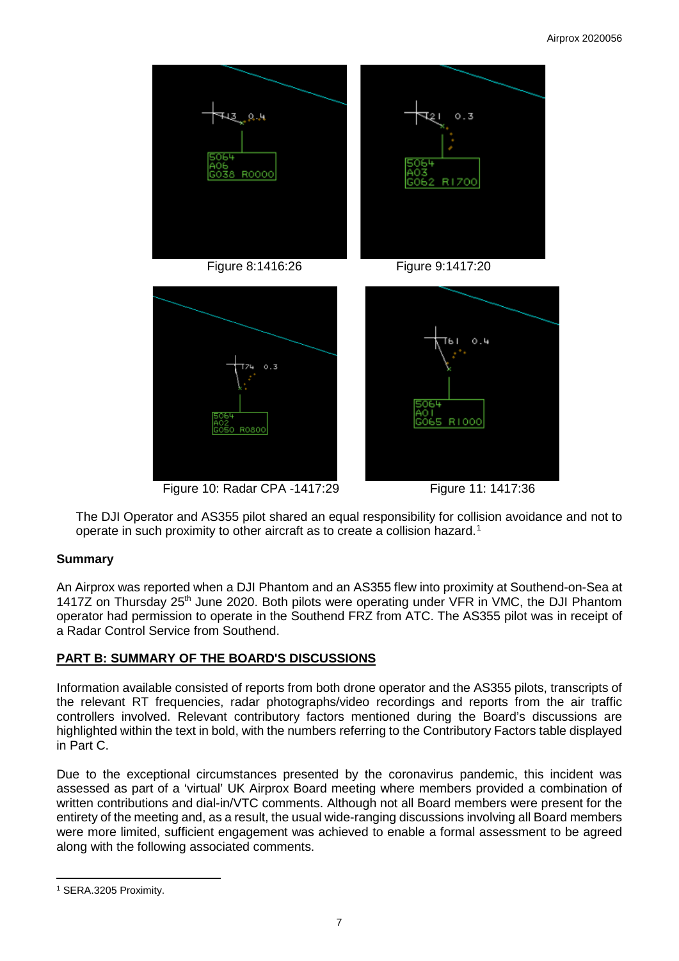

Figure 10: Radar CPA -1417:29 Figure 11: 1417:36

The DJI Operator and AS355 pilot shared an equal responsibility for collision avoidance and not to operate in such proximity to other aircraft as to create a collision hazard. [1](#page-6-0)

# **Summary**

An Airprox was reported when a DJI Phantom and an AS355 flew into proximity at Southend-on-Sea at 1417Z on Thursday 25<sup>th</sup> June 2020. Both pilots were operating under VFR in VMC, the DJI Phantom operator had permission to operate in the Southend FRZ from ATC. The AS355 pilot was in receipt of a Radar Control Service from Southend.

# **PART B: SUMMARY OF THE BOARD'S DISCUSSIONS**

Information available consisted of reports from both drone operator and the AS355 pilots, transcripts of the relevant RT frequencies, radar photographs/video recordings and reports from the air traffic controllers involved. Relevant contributory factors mentioned during the Board's discussions are highlighted within the text in bold, with the numbers referring to the Contributory Factors table displayed in Part C.

Due to the exceptional circumstances presented by the coronavirus pandemic, this incident was assessed as part of a 'virtual' UK Airprox Board meeting where members provided a combination of written contributions and dial-in/VTC comments. Although not all Board members were present for the entirety of the meeting and, as a result, the usual wide-ranging discussions involving all Board members were more limited, sufficient engagement was achieved to enable a formal assessment to be agreed along with the following associated comments.

<span id="page-6-0"></span>l <sup>1</sup> SERA.3205 Proximity.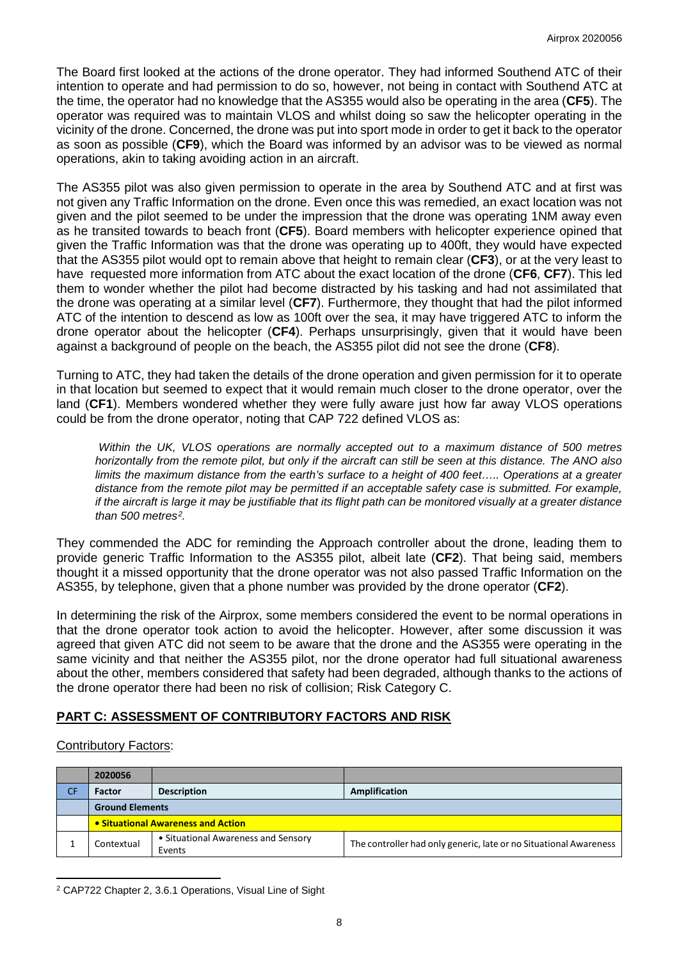The Board first looked at the actions of the drone operator. They had informed Southend ATC of their intention to operate and had permission to do so, however, not being in contact with Southend ATC at the time, the operator had no knowledge that the AS355 would also be operating in the area (**CF5**). The operator was required was to maintain VLOS and whilst doing so saw the helicopter operating in the vicinity of the drone. Concerned, the drone was put into sport mode in order to get it back to the operator as soon as possible (**CF9**), which the Board was informed by an advisor was to be viewed as normal operations, akin to taking avoiding action in an aircraft.

The AS355 pilot was also given permission to operate in the area by Southend ATC and at first was not given any Traffic Information on the drone. Even once this was remedied, an exact location was not given and the pilot seemed to be under the impression that the drone was operating 1NM away even as he transited towards to beach front (**CF5**). Board members with helicopter experience opined that given the Traffic Information was that the drone was operating up to 400ft, they would have expected that the AS355 pilot would opt to remain above that height to remain clear (**CF3**), or at the very least to have requested more information from ATC about the exact location of the drone (**CF6**, **CF7**). This led them to wonder whether the pilot had become distracted by his tasking and had not assimilated that the drone was operating at a similar level (**CF7**). Furthermore, they thought that had the pilot informed ATC of the intention to descend as low as 100ft over the sea, it may have triggered ATC to inform the drone operator about the helicopter (**CF4**). Perhaps unsurprisingly, given that it would have been against a background of people on the beach, the AS355 pilot did not see the drone (**CF8**).

Turning to ATC, they had taken the details of the drone operation and given permission for it to operate in that location but seemed to expect that it would remain much closer to the drone operator, over the land (**CF1**). Members wondered whether they were fully aware just how far away VLOS operations could be from the drone operator, noting that CAP 722 defined VLOS as:

*Within the UK, VLOS operations are normally accepted out to a maximum distance of 500 metres horizontally from the remote pilot, but only if the aircraft can still be seen at this distance. The ANO also limits the maximum distance from the earth's surface to a height of 400 feet….. Operations at a greater distance from the remote pilot may be permitted if an acceptable safety case is submitted. For example, if the aircraft is large it may be justifiable that its flight path can be monitored visually at a greater distance than 500 metres[2.](#page-7-0)*

They commended the ADC for reminding the Approach controller about the drone, leading them to provide generic Traffic Information to the AS355 pilot, albeit late (**CF2**). That being said, members thought it a missed opportunity that the drone operator was not also passed Traffic Information on the AS355, by telephone, given that a phone number was provided by the drone operator (**CF2**).

In determining the risk of the Airprox, some members considered the event to be normal operations in that the drone operator took action to avoid the helicopter. However, after some discussion it was agreed that given ATC did not seem to be aware that the drone and the AS355 were operating in the same vicinity and that neither the AS355 pilot, nor the drone operator had full situational awareness about the other, members considered that safety had been degraded, although thanks to the actions of the drone operator there had been no risk of collision; Risk Category C.

# **PART C: ASSESSMENT OF CONTRIBUTORY FACTORS AND RISK**

# Contributory Factors:

|    | 2020056                            |                                               |                                                                   |  |  |  |  |  |  |
|----|------------------------------------|-----------------------------------------------|-------------------------------------------------------------------|--|--|--|--|--|--|
| CF | Factor                             | <b>Description</b>                            | Amplification                                                     |  |  |  |  |  |  |
|    | <b>Ground Elements</b>             |                                               |                                                                   |  |  |  |  |  |  |
|    | • Situational Awareness and Action |                                               |                                                                   |  |  |  |  |  |  |
|    | Contextual                         | • Situational Awareness and Sensory<br>Events | The controller had only generic, late or no Situational Awareness |  |  |  |  |  |  |

<span id="page-7-0"></span>l <sup>2</sup> CAP722 Chapter 2, 3.6.1 Operations, Visual Line of Sight